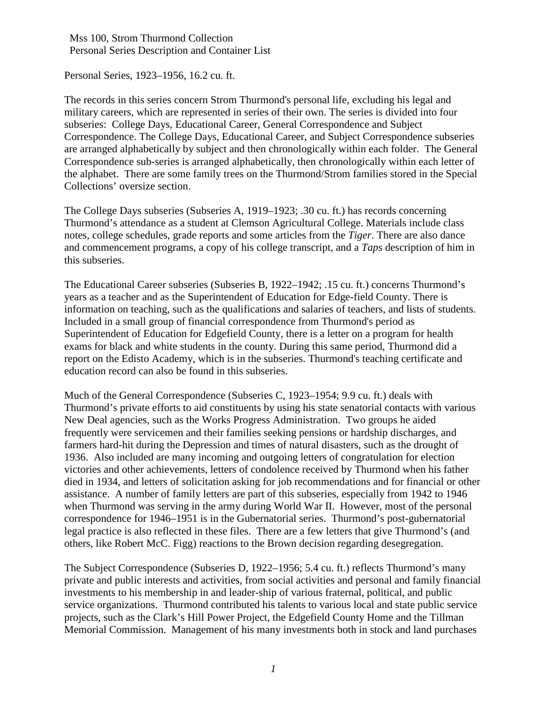Personal Series, 1923–1956, 16.2 cu. ft.

The records in this series concern Strom Thurmond's personal life, excluding his legal and military careers, which are represented in series of their own. The series is divided into four subseries: College Days, Educational Career, General Correspondence and Subject Correspondence. The College Days, Educational Career, and Subject Correspondence subseries are arranged alphabetically by subject and then chronologically within each folder. The General Correspondence sub-series is arranged alphabetically, then chronologically within each letter of the alphabet. There are some family trees on the Thurmond/Strom families stored in the Special Collections' oversize section.

The College Days subseries (Subseries A, 1919–1923; .30 cu. ft.) has records concerning Thurmond's attendance as a student at Clemson Agricultural College. Materials include class notes, college schedules, grade reports and some articles from the *Tiger*. There are also dance and commencement programs, a copy of his college transcript, and a *Taps* description of him in this subseries.

The Educational Career subseries (Subseries B, 1922–1942; .15 cu. ft.) concerns Thurmond's years as a teacher and as the Superintendent of Education for Edge-field County. There is information on teaching, such as the qualifications and salaries of teachers, and lists of students. Included in a small group of financial correspondence from Thurmond's period as Superintendent of Education for Edgefield County, there is a letter on a program for health exams for black and white students in the county. During this same period, Thurmond did a report on the Edisto Academy, which is in the subseries. Thurmond's teaching certificate and education record can also be found in this subseries.

Much of the General Correspondence (Subseries C, 1923–1954; 9.9 cu. ft.) deals with Thurmond's private efforts to aid constituents by using his state senatorial contacts with various New Deal agencies, such as the Works Progress Administration. Two groups he aided frequently were servicemen and their families seeking pensions or hardship discharges, and farmers hard-hit during the Depression and times of natural disasters, such as the drought of 1936. Also included are many incoming and outgoing letters of congratulation for election victories and other achievements, letters of condolence received by Thurmond when his father died in 1934, and letters of solicitation asking for job recommendations and for financial or other assistance. A number of family letters are part of this subseries, especially from 1942 to 1946 when Thurmond was serving in the army during World War II. However, most of the personal correspondence for 1946–1951 is in the Gubernatorial series. Thurmond's post-gubernatorial legal practice is also reflected in these files. There are a few letters that give Thurmond's (and others, like Robert McC. Figg) reactions to the Brown decision regarding desegregation.

The Subject Correspondence (Subseries D, 1922–1956; 5.4 cu. ft.) reflects Thurmond's many private and public interests and activities, from social activities and personal and family financial investments to his membership in and leader-ship of various fraternal, political, and public service organizations. Thurmond contributed his talents to various local and state public service projects, such as the Clark's Hill Power Project, the Edgefield County Home and the Tillman Memorial Commission. Management of his many investments both in stock and land purchases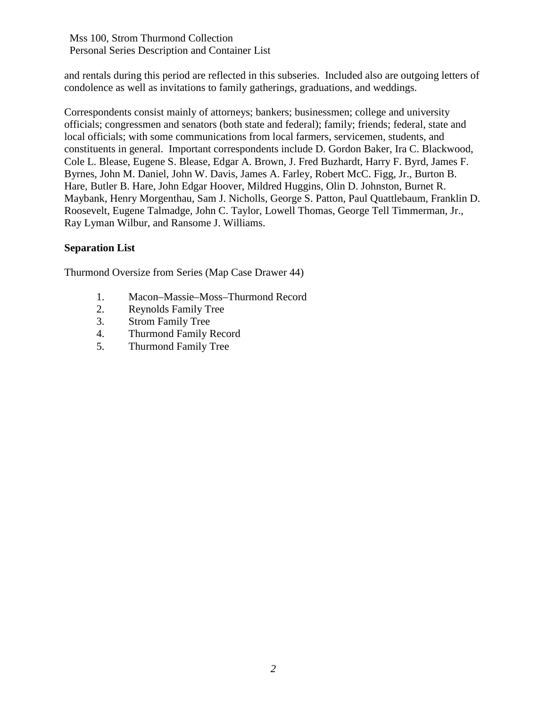and rentals during this period are reflected in this subseries. Included also are outgoing letters of condolence as well as invitations to family gatherings, graduations, and weddings.

Correspondents consist mainly of attorneys; bankers; businessmen; college and university officials; congressmen and senators (both state and federal); family; friends; federal, state and local officials; with some communications from local farmers, servicemen, students, and constituents in general. Important correspondents include D. Gordon Baker, Ira C. Blackwood, Cole L. Blease, Eugene S. Blease, Edgar A. Brown, J. Fred Buzhardt, Harry F. Byrd, James F. Byrnes, John M. Daniel, John W. Davis, James A. Farley, Robert McC. Figg, Jr., Burton B. Hare, Butler B. Hare, John Edgar Hoover, Mildred Huggins, Olin D. Johnston, Burnet R. Maybank, Henry Morgenthau, Sam J. Nicholls, George S. Patton, Paul Quattlebaum, Franklin D. Roosevelt, Eugene Talmadge, John C. Taylor, Lowell Thomas, George Tell Timmerman, Jr., Ray Lyman Wilbur, and Ransome J. Williams.

#### **Separation List**

Thurmond Oversize from Series (Map Case Drawer 44)

- 1. Macon–Massie–Moss–Thurmond Record
- 2. Reynolds Family Tree
- 3. Strom Family Tree
- 4. Thurmond Family Record
- 5. Thurmond Family Tree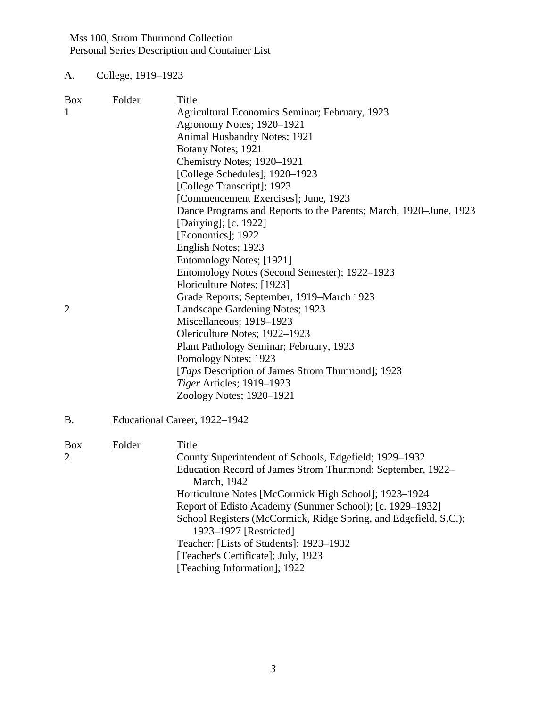A. College, 1919–1923

| <b>Box</b>     | Folder        | Title                                                                     |
|----------------|---------------|---------------------------------------------------------------------------|
| $\mathbf{1}$   |               | Agricultural Economics Seminar; February, 1923                            |
|                |               | Agronomy Notes; 1920-1921                                                 |
|                |               | <b>Animal Husbandry Notes; 1921</b>                                       |
|                |               | Botany Notes; 1921                                                        |
|                |               | Chemistry Notes; 1920-1921                                                |
|                |               | [College Schedules]; 1920–1923                                            |
|                |               | [College Transcript]; 1923                                                |
|                |               | [Commencement Exercises]; June, 1923                                      |
|                |               | Dance Programs and Reports to the Parents; March, 1920–June, 1923         |
|                |               | [Dairying]; [c. 1922]                                                     |
|                |               | [Economics]; 1922                                                         |
|                |               | English Notes; 1923                                                       |
|                |               | Entomology Notes; [1921]                                                  |
|                |               | Entomology Notes (Second Semester); 1922–1923                             |
|                |               | Floriculture Notes; [1923]                                                |
|                |               | Grade Reports; September, 1919–March 1923                                 |
| $\overline{2}$ |               | Landscape Gardening Notes; 1923                                           |
|                |               | Miscellaneous; 1919-1923                                                  |
|                |               | Olericulture Notes; 1922-1923                                             |
|                |               | Plant Pathology Seminar; February, 1923                                   |
|                |               | Pomology Notes; 1923                                                      |
|                |               | [ <i>Taps</i> Description of James Strom Thurmond]; 1923                  |
|                |               | Tiger Articles; 1919-1923                                                 |
|                |               | Zoology Notes; 1920-1921                                                  |
|                |               |                                                                           |
| <b>B.</b>      |               | Educational Career, 1922-1942                                             |
|                |               |                                                                           |
| <u>Box</u>     | <b>Folder</b> | Title                                                                     |
| $\overline{2}$ |               | County Superintendent of Schools, Edgefield; 1929–1932                    |
|                |               | Education Record of James Strom Thurmond; September, 1922–<br>March, 1942 |
|                |               | Horticulture Notes [McCormick High School]; 1923-1924                     |
|                |               | Report of Edisto Academy (Summer School); [c. 1929-1932]                  |
|                |               | School Registers (McCormick, Ridge Spring, and Edgefield, S.C.);          |
|                |               | 1923-1927 [Restricted]                                                    |
|                |               | Teacher: [Lists of Students]; 1923-1932                                   |
|                |               | [Teacher's Certificate]; July, 1923                                       |
|                |               | [Teaching Information]; 1922                                              |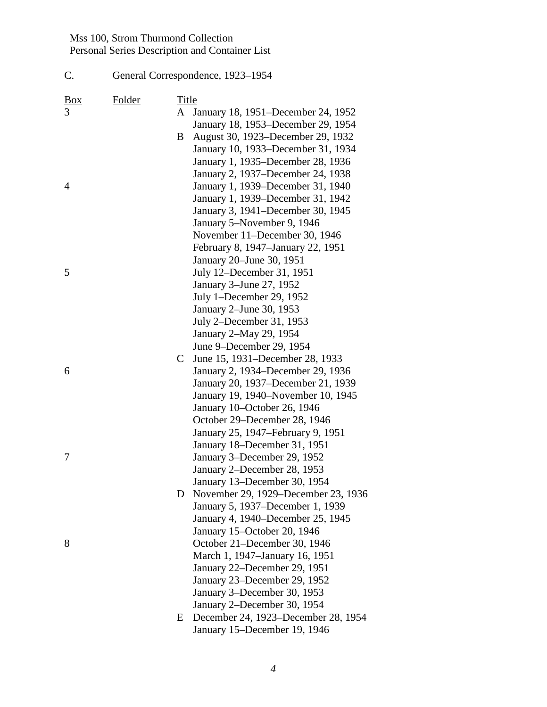C. General Correspondence, 1923–1954

Box Folder Title 3 A January 18, 1951–December 24, 1952 January 18, 1953–December 29, 1954 B August 30, 1923–December 29, 1932 January 10, 1933–December 31, 1934 January 1, 1935–December 28, 1936 January 2, 1937–December 24, 1938 4 January 1, 1939–December 31, 1940 January 1, 1939–December 31, 1942 January 3, 1941–December 30, 1945 January 5–November 9, 1946 November 11–December 30, 1946 February 8, 1947–January 22, 1951 January 20–June 30, 1951 5 July 12–December 31, 1951 January 3–June 27, 1952 July 1–December 29, 1952 January 2–June 30, 1953 July 2–December 31, 1953 January 2–May 29, 1954 June 9–December 29, 1954 C June 15, 1931–December 28, 1933 6 January 2, 1934–December 29, 1936 January 20, 1937–December 21, 1939 January 19, 1940–November 10, 1945 January 10–October 26, 1946 October 29–December 28, 1946 January 25, 1947–February 9, 1951 January 18–December 31, 1951 7 January 3–December 29, 1952 January 2–December 28, 1953 January 13–December 30, 1954 D November 29, 1929–December 23, 1936 January 5, 1937–December 1, 1939 January 4, 1940–December 25, 1945 January 15–October 20, 1946 8 October 21–December 30, 1946 March 1, 1947–January 16, 1951 January 22–December 29, 1951 January 23–December 29, 1952 January 3–December 30, 1953 January 2–December 30, 1954 E December 24, 1923–December 28, 1954 January 15–December 19, 1946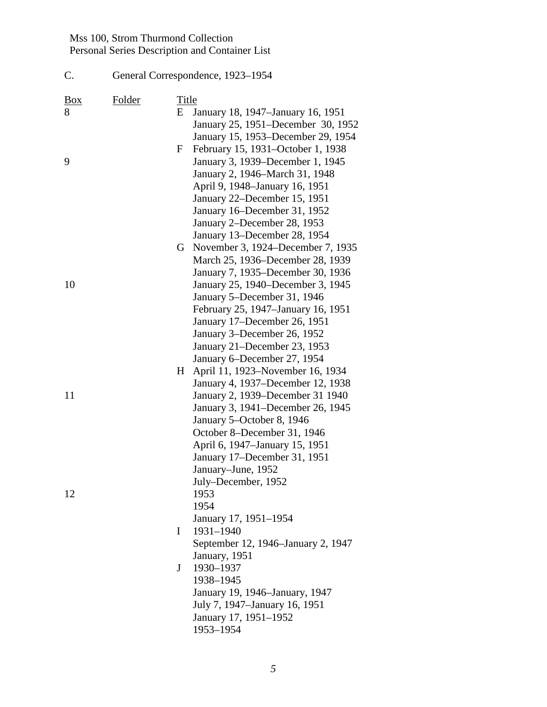| C.              |        |                   | General Correspondence, 1923-1954                                                                                                                                                                                                                                                                                                 |
|-----------------|--------|-------------------|-----------------------------------------------------------------------------------------------------------------------------------------------------------------------------------------------------------------------------------------------------------------------------------------------------------------------------------|
| <b>Box</b><br>8 | Folder | <b>Title</b><br>E | January 18, 1947–January 16, 1951<br>January 25, 1951–December 30, 1952<br>January 15, 1953–December 29, 1954                                                                                                                                                                                                                     |
| 9               |        | $\mathbf F$       | February 15, 1931–October 1, 1938<br>January 3, 1939–December 1, 1945<br>January 2, 1946–March 31, 1948<br>April 9, 1948–January 16, 1951<br>January 22–December 15, 1951<br>January 16–December 31, 1952<br>January 2-December 28, 1953<br>January 13–December 28, 1954                                                          |
| 10              |        |                   | G November 3, 1924–December 7, 1935<br>March 25, 1936–December 28, 1939<br>January 7, 1935–December 30, 1936<br>January 25, 1940–December 3, 1945<br>January 5-December 31, 1946<br>February 25, 1947–January 16, 1951<br>January 17-December 26, 1951<br>January 3-December 26, 1952<br>January 21–December 23, 1953             |
| 11              |        | H                 | January 6–December 27, 1954<br>April 11, 1923–November 16, 1934<br>January 4, 1937–December 12, 1938<br>January 2, 1939–December 31 1940<br>January 3, 1941–December 26, 1945<br>January 5-October 8, 1946<br>October 8-December 31, 1946<br>April 6, 1947–January 15, 1951<br>January 17-December 31, 1951<br>January-June, 1952 |
| 12              |        | I<br>J            | July–December, 1952<br>1953<br>1954<br>January 17, 1951-1954<br>1931-1940<br>September 12, 1946–January 2, 1947<br>January, 1951<br>1930-1937<br>1938-1945<br>January 19, 1946–January, 1947<br>July 7, 1947–January 16, 1951<br>January 17, 1951-1952<br>1953-1954                                                               |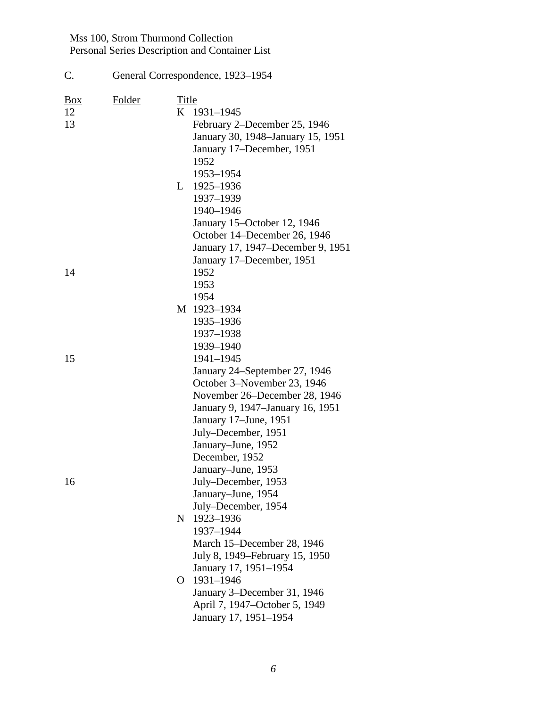| C.                         | General Correspondence, 1923-1954 |       |                                                                                                                                                                                                                                                     |
|----------------------------|-----------------------------------|-------|-----------------------------------------------------------------------------------------------------------------------------------------------------------------------------------------------------------------------------------------------------|
| $\frac{Box}{}$<br>12<br>13 | Folder                            | Title | K 1931-1945<br>February 2–December 25, 1946<br>January 30, 1948-January 15, 1951<br>January 17-December, 1951<br>1952<br>1953-1954<br>L 1925-1936<br>1937-1939<br>1940-1946<br>January 15-October 12, 1946                                          |
| 14                         |                                   |       | October 14–December 26, 1946<br>January 17, 1947–December 9, 1951<br>January 17–December, 1951<br>1952<br>1953                                                                                                                                      |
|                            |                                   |       | 1954<br>M 1923-1934<br>1935-1936<br>1937-1938                                                                                                                                                                                                       |
| 15                         |                                   |       | 1939-1940<br>1941-1945<br>January 24–September 27, 1946<br>October 3-November 23, 1946<br>November 26-December 28, 1946<br>January 9, 1947–January 16, 1951<br>January 17–June, 1951<br>July-December, 1951<br>January-June, 1952<br>December, 1952 |
| 16                         |                                   | N     | January-June, 1953<br>July-December, 1953<br>January–June, 1954<br>July-December, 1954<br>1923-1936<br>1937-1944<br>March 15–December 28, 1946<br>July 8, 1949–February 15, 1950                                                                    |
|                            |                                   | O     | January 17, 1951–1954<br>1931-1946<br>January 3–December 31, 1946<br>April 7, 1947–October 5, 1949<br>January 17, 1951-1954                                                                                                                         |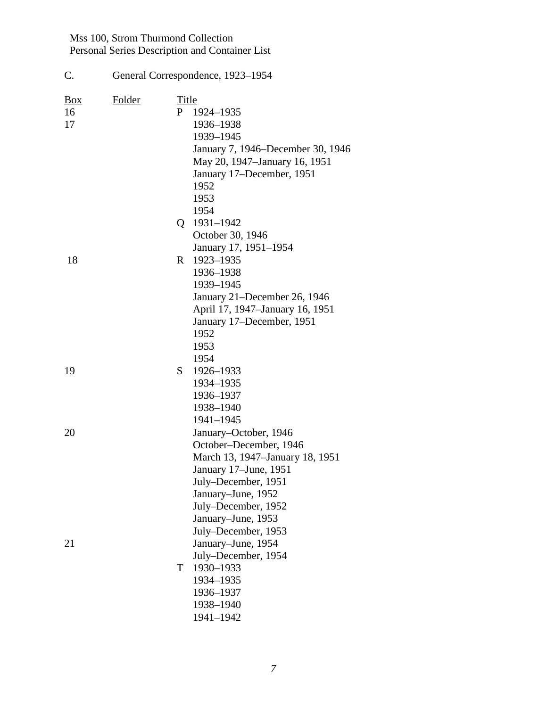| C.                         | General Correspondence, 1923-1954 |            |                                                                                                                                                                                                                                                                                         |  |
|----------------------------|-----------------------------------|------------|-----------------------------------------------------------------------------------------------------------------------------------------------------------------------------------------------------------------------------------------------------------------------------------------|--|
| $\frac{Box}{}$<br>16<br>17 | Folder                            | Title<br>P | 1924-1935<br>1936-1938<br>1939-1945<br>January 7, 1946–December 30, 1946<br>May 20, 1947–January 16, 1951<br>January 17–December, 1951<br>1952<br>1953                                                                                                                                  |  |
|                            |                                   |            | 1954<br>Q 1931-1942<br>October 30, 1946                                                                                                                                                                                                                                                 |  |
| 18                         |                                   |            | January 17, 1951-1954<br>R 1923-1935<br>1936-1938<br>1939-1945                                                                                                                                                                                                                          |  |
|                            |                                   |            | January 21–December 26, 1946<br>April 17, 1947-January 16, 1951<br>January 17-December, 1951<br>1952<br>1953                                                                                                                                                                            |  |
| 19                         |                                   | S.         | 1954<br>1926-1933<br>1934-1935<br>1936-1937<br>1938-1940                                                                                                                                                                                                                                |  |
| 20                         |                                   |            | 1941-1945<br>January-October, 1946<br>October-December, 1946                                                                                                                                                                                                                            |  |
| 21                         |                                   | T          | March 13, 1947–January 18, 1951<br>January 17-June, 1951<br>July-December, 1951<br>January-June, 1952<br>July-December, 1952<br>January-June, 1953<br>July-December, 1953<br>January-June, 1954<br>July-December, 1954<br>1930-1933<br>1934-1935<br>1936-1937<br>1938-1940<br>1941-1942 |  |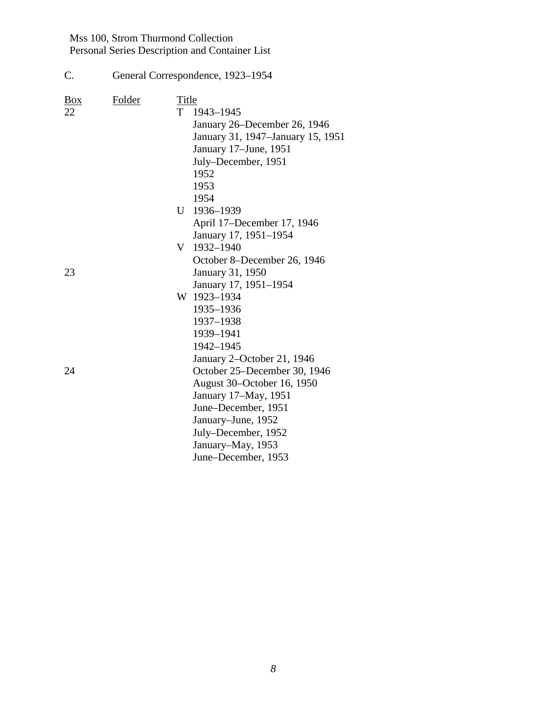| C.                      | General Correspondence, 1923–1954 |                  |                                                                                                                                                                                                                                           |
|-------------------------|-----------------------------------|------------------|-------------------------------------------------------------------------------------------------------------------------------------------------------------------------------------------------------------------------------------------|
| $\underline{Box}$<br>22 | <b>Folder</b>                     | Title<br>U<br>V. | T 1943-1945<br>January 26–December 26, 1946<br>January 31, 1947–January 15, 1951<br>January 17–June, 1951<br>July-December, 1951<br>1952<br>1953<br>1954<br>1936-1939<br>April 17–December 17, 1946<br>January 17, 1951-1954<br>1932-1940 |
| 23                      |                                   |                  | October 8–December 26, 1946<br>January 31, 1950<br>January 17, 1951-1954                                                                                                                                                                  |
|                         |                                   |                  | W 1923-1934<br>1935-1936<br>1937-1938<br>1939-1941<br>1942-1945                                                                                                                                                                           |
| 24                      |                                   |                  | January 2-October 21, 1946<br>October 25–December 30, 1946<br>August 30–October 16, 1950<br>January 17–May, 1951<br>June–December, 1951<br>January–June, 1952<br>July–December, 1952<br>January–May, 1953<br>June-December, 1953          |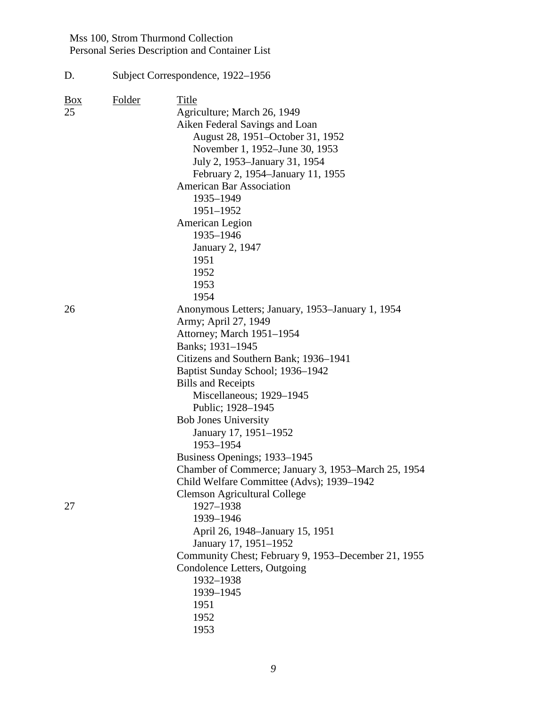| D.                   | Subject Correspondence, 1922-1956 |                                                                                                                                                                                                                                                                                                                                                                                                                                                                                                                                      |  |  |
|----------------------|-----------------------------------|--------------------------------------------------------------------------------------------------------------------------------------------------------------------------------------------------------------------------------------------------------------------------------------------------------------------------------------------------------------------------------------------------------------------------------------------------------------------------------------------------------------------------------------|--|--|
| $\frac{Box}{}$<br>25 | <b>Folder</b>                     | Title<br>Agriculture; March 26, 1949<br>Aiken Federal Savings and Loan<br>August 28, 1951–October 31, 1952<br>November 1, 1952–June 30, 1953<br>July 2, 1953–January 31, 1954<br>February 2, 1954-January 11, 1955<br><b>American Bar Association</b><br>1935-1949<br>1951-1952<br>American Legion<br>1935-1946<br><b>January 2, 1947</b><br>1951<br>1952<br>1953<br>1954                                                                                                                                                            |  |  |
| 26                   |                                   | Anonymous Letters; January, 1953–January 1, 1954<br>Army; April 27, 1949<br>Attorney; March 1951–1954<br>Banks; 1931-1945<br>Citizens and Southern Bank; 1936-1941<br>Baptist Sunday School; 1936–1942<br><b>Bills and Receipts</b><br>Miscellaneous; 1929-1945<br>Public; 1928-1945<br><b>Bob Jones University</b><br>January 17, 1951-1952<br>1953-1954<br>Business Openings; 1933–1945<br>Chamber of Commerce; January 3, 1953–March 25, 1954<br>Child Welfare Committee (Advs); 1939-1942<br><b>Clemson Agricultural College</b> |  |  |
| 27                   |                                   | 1927-1938<br>1939-1946<br>April 26, 1948–January 15, 1951<br>January 17, 1951-1952<br>Community Chest; February 9, 1953–December 21, 1955<br>Condolence Letters, Outgoing<br>1932-1938<br>1939-1945<br>1951<br>1952<br>1953                                                                                                                                                                                                                                                                                                          |  |  |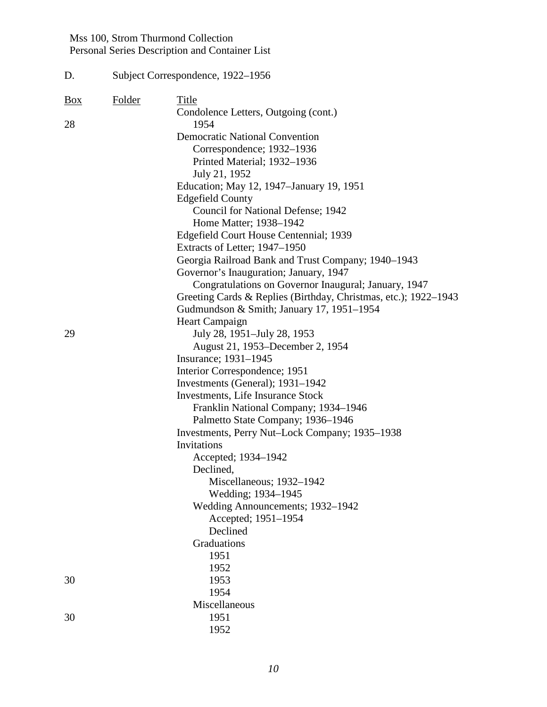| D.             |        | Subject Correspondence, 1922-1956                               |  |  |  |  |
|----------------|--------|-----------------------------------------------------------------|--|--|--|--|
| $\frac{Box}{}$ | Folder | <b>Title</b>                                                    |  |  |  |  |
| 28             |        | Condolence Letters, Outgoing (cont.)<br>1954                    |  |  |  |  |
|                |        | <b>Democratic National Convention</b>                           |  |  |  |  |
|                |        | Correspondence; 1932–1936                                       |  |  |  |  |
|                |        | Printed Material; 1932-1936                                     |  |  |  |  |
|                |        | July 21, 1952                                                   |  |  |  |  |
|                |        | Education; May 12, 1947-January 19, 1951                        |  |  |  |  |
|                |        | <b>Edgefield County</b>                                         |  |  |  |  |
|                |        | Council for National Defense; 1942                              |  |  |  |  |
|                |        | Home Matter; 1938-1942                                          |  |  |  |  |
|                |        | Edgefield Court House Centennial; 1939                          |  |  |  |  |
|                |        | Extracts of Letter; 1947–1950                                   |  |  |  |  |
|                |        | Georgia Railroad Bank and Trust Company; 1940–1943              |  |  |  |  |
|                |        | Governor's Inauguration; January, 1947                          |  |  |  |  |
|                |        | Congratulations on Governor Inaugural; January, 1947            |  |  |  |  |
|                |        | Greeting Cards & Replies (Birthday, Christmas, etc.); 1922–1943 |  |  |  |  |
|                |        | Gudmundson & Smith; January 17, 1951-1954                       |  |  |  |  |
|                |        | Heart Campaign                                                  |  |  |  |  |
| 29             |        | July 28, 1951–July 28, 1953                                     |  |  |  |  |
|                |        | August 21, 1953–December 2, 1954                                |  |  |  |  |
|                |        | Insurance; 1931-1945                                            |  |  |  |  |
|                |        | Interior Correspondence; 1951                                   |  |  |  |  |
|                |        | Investments (General); 1931–1942                                |  |  |  |  |
|                |        | Investments, Life Insurance Stock                               |  |  |  |  |
|                |        | Franklin National Company; 1934-1946                            |  |  |  |  |
|                |        | Palmetto State Company; 1936-1946                               |  |  |  |  |
|                |        | Investments, Perry Nut-Lock Company; 1935–1938                  |  |  |  |  |
|                |        | Invitations                                                     |  |  |  |  |
|                |        | Accepted; 1934–1942                                             |  |  |  |  |
|                |        | Declined,                                                       |  |  |  |  |
|                |        | Miscellaneous; 1932-1942<br>Wedding; 1934-1945                  |  |  |  |  |
|                |        | Wedding Announcements; 1932-1942                                |  |  |  |  |
|                |        | Accepted; 1951-1954                                             |  |  |  |  |
|                |        | Declined                                                        |  |  |  |  |
|                |        | Graduations                                                     |  |  |  |  |
|                |        | 1951                                                            |  |  |  |  |
|                |        | 1952                                                            |  |  |  |  |
| 30             |        | 1953                                                            |  |  |  |  |
|                |        | 1954                                                            |  |  |  |  |
|                |        | Miscellaneous                                                   |  |  |  |  |
| 30             |        | 1951                                                            |  |  |  |  |
|                |        | 1952                                                            |  |  |  |  |
|                |        |                                                                 |  |  |  |  |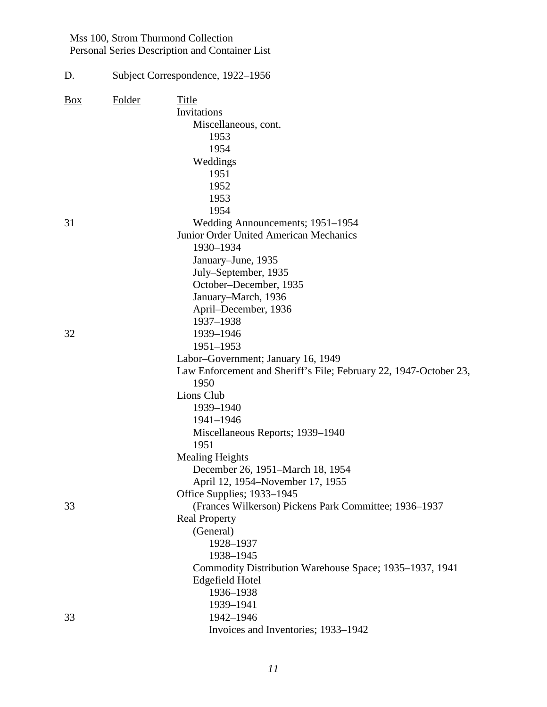| D.             | Subject Correspondence, 1922–1956 |                                                                   |  |  |  |
|----------------|-----------------------------------|-------------------------------------------------------------------|--|--|--|
| $\frac{Box}{}$ | Folder                            | Title                                                             |  |  |  |
|                |                                   | Invitations                                                       |  |  |  |
|                |                                   | Miscellaneous, cont.                                              |  |  |  |
|                |                                   | 1953                                                              |  |  |  |
|                |                                   | 1954                                                              |  |  |  |
|                |                                   | Weddings                                                          |  |  |  |
|                |                                   | 1951                                                              |  |  |  |
|                |                                   | 1952                                                              |  |  |  |
|                |                                   | 1953                                                              |  |  |  |
|                |                                   | 1954                                                              |  |  |  |
| 31             |                                   | Wedding Announcements; 1951–1954                                  |  |  |  |
|                |                                   | Junior Order United American Mechanics                            |  |  |  |
|                |                                   | 1930-1934                                                         |  |  |  |
|                |                                   | January-June, 1935                                                |  |  |  |
|                |                                   | July–September, 1935                                              |  |  |  |
|                |                                   | October-December, 1935                                            |  |  |  |
|                |                                   | January–March, 1936                                               |  |  |  |
|                |                                   | April–December, 1936                                              |  |  |  |
|                |                                   | 1937-1938                                                         |  |  |  |
| 32             |                                   | 1939-1946                                                         |  |  |  |
|                |                                   | 1951-1953                                                         |  |  |  |
|                |                                   | Labor-Government; January 16, 1949                                |  |  |  |
|                |                                   | Law Enforcement and Sheriff's File; February 22, 1947-October 23, |  |  |  |
|                |                                   | 1950                                                              |  |  |  |
|                |                                   | Lions Club                                                        |  |  |  |
|                |                                   | 1939-1940                                                         |  |  |  |
|                |                                   | 1941-1946                                                         |  |  |  |
|                |                                   | Miscellaneous Reports; 1939-1940                                  |  |  |  |
|                |                                   | 1951                                                              |  |  |  |
|                |                                   | <b>Mealing Heights</b>                                            |  |  |  |
|                |                                   | December 26, 1951-March 18, 1954                                  |  |  |  |
|                |                                   | April 12, 1954–November 17, 1955                                  |  |  |  |
|                |                                   | Office Supplies; 1933–1945                                        |  |  |  |
| 33             |                                   | (Frances Wilkerson) Pickens Park Committee; 1936-1937             |  |  |  |
|                |                                   | <b>Real Property</b>                                              |  |  |  |
|                |                                   | (General)                                                         |  |  |  |
|                |                                   | 1928-1937                                                         |  |  |  |
|                |                                   | 1938-1945                                                         |  |  |  |
|                |                                   | Commodity Distribution Warehouse Space; 1935–1937, 1941           |  |  |  |
|                |                                   | <b>Edgefield Hotel</b>                                            |  |  |  |
|                |                                   | 1936-1938                                                         |  |  |  |
|                |                                   | 1939-1941                                                         |  |  |  |
| 33             |                                   | 1942-1946                                                         |  |  |  |
|                |                                   | Invoices and Inventories; 1933-1942                               |  |  |  |